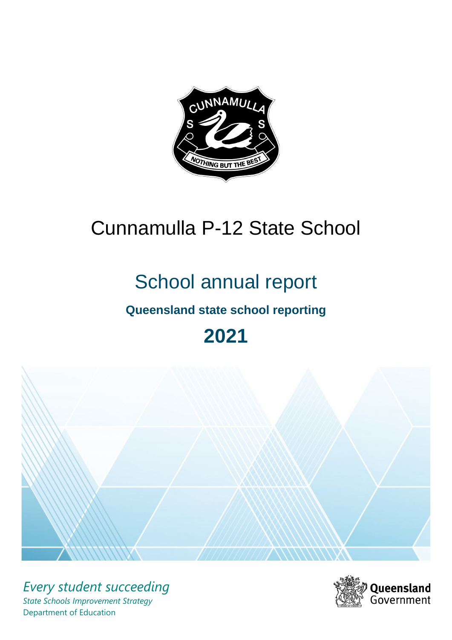

# Cunnamulla P-12 State School

# School annual report

# **Queensland state school reporting**

# **2021**



*Every student succeeding State Schools Improvement Strategy* Department of Education

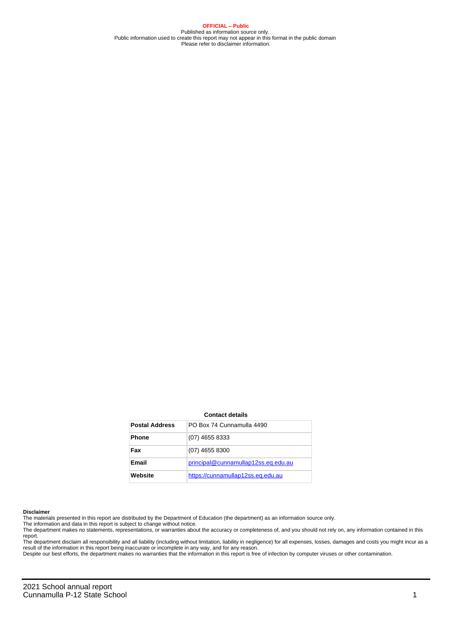**OFFICIAL – Public** Published as information source only. Public information used to create this report may not appear in this format in the public domain Please refer to disclaimer information.

#### **Contact details**

| <b>Postal Address</b> | PO Box 74 Cunnamulla 4490           |
|-----------------------|-------------------------------------|
| <b>Phone</b>          | (07) 4655 8333                      |
| Fax                   | (07) 4655 8300                      |
| Email                 | principal@cunnamullap12ss.eq.edu.au |
| Website               | https://cunnamullap12ss.eq.edu.au   |

#### **Disclaimer**

The materials presented in this report are distributed by the Department of Education (the department) as an information source only.

The information and data in this report is subject to change without notice.<br>The department makes no statements, representations, or warranties about the accuracy or completeness of, and you should not rely on, any informa report.

The department disclaim all responsibility and all liability (including without limitation, liability in negligence) for all expenses, losses, damages and costs you might incur as a result of the information in this report being inaccurate or incomplete in any way, and for any reason.

Despite our best efforts, the department makes no warranties that the information in this report is free of infection by computer viruses or other contamination.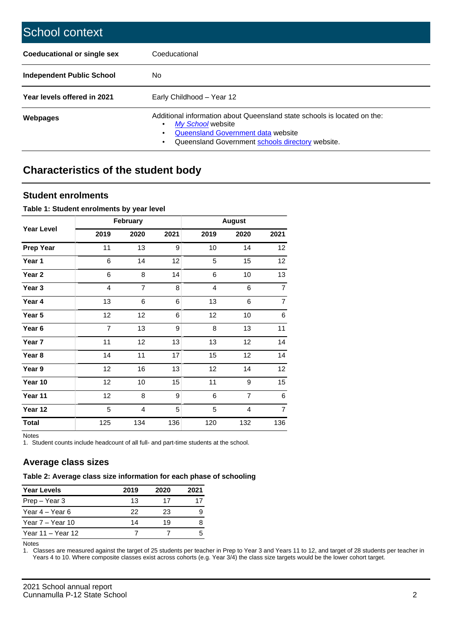| School context                   |                                                                                                                                                                                         |
|----------------------------------|-----------------------------------------------------------------------------------------------------------------------------------------------------------------------------------------|
| Coeducational or single sex      | Coeducational                                                                                                                                                                           |
| <b>Independent Public School</b> | No.                                                                                                                                                                                     |
| Year levels offered in 2021      | Early Childhood - Year 12                                                                                                                                                               |
| Webpages                         | Additional information about Queensland state schools is located on the:<br>My School website<br>Queensland Government data website<br>Queensland Government schools directory website. |

# **Characteristics of the student body**

## **Student enrolments**

#### **Table 1: Student enrolments by year level**

|                   |                | February       |      |      |                |                 |
|-------------------|----------------|----------------|------|------|----------------|-----------------|
| <b>Year Level</b> | 2019           | 2020           | 2021 | 2019 | 2020           | 2021            |
| <b>Prep Year</b>  | 11             | 13             | 9    | 10   | 14             | 12 <sup>°</sup> |
| Year 1            | 6              | 14             | 12   | 5    | 15             | 12 <sub>2</sub> |
| Year 2            | 6              | 8              | 14   | 6    | 10             | 13              |
| Year 3            | 4              | 7              | 8    | 4    | 6              | $\overline{7}$  |
| Year 4            | 13             | 6              | 6    | 13   | 6              | $\overline{7}$  |
| Year 5            | 12             | 12             | 6    | 12   | 10             | $\,6\,$         |
| Year 6            | $\overline{7}$ | 13             | 9    | 8    | 13             | 11              |
| Year 7            | 11             | 12             | 13   | 13   | 12             | 14              |
| Year 8            | 14             | 11             | 17   | 15   | 12             | 14              |
| Year 9            | 12             | 16             | 13   | 12   | 14             | 12              |
| Year 10           | 12             | 10             | 15   | 11   | 9              | 15              |
| Year 11           | 12             | 8              | 9    | 6    | $\overline{7}$ | $\,6\,$         |
| Year 12           | 5              | $\overline{4}$ | 5    | 5    | 4              | $\overline{7}$  |
| <b>Total</b>      | 125            | 134            | 136  | 120  | 132            | 136             |

Notes

1. Student counts include headcount of all full- and part-time students at the school.

## **Average class sizes**

## **Table 2: Average class size information for each phase of schooling**

| <b>Year Levels</b> | 2019 | 2020 | 2021 |
|--------------------|------|------|------|
| Prep – Year 3      | 13   | 17   |      |
| Year 4 – Year 6    | 22   | 23   |      |
| Year 7 – Year 10   | 14   | 19   |      |
| Year 11 – Year 12  |      |      |      |

Notes

1. Classes are measured against the target of 25 students per teacher in Prep to Year 3 and Years 11 to 12, and target of 28 students per teacher in Years 4 to 10. Where composite classes exist across cohorts (e.g. Year 3/4) the class size targets would be the lower cohort target.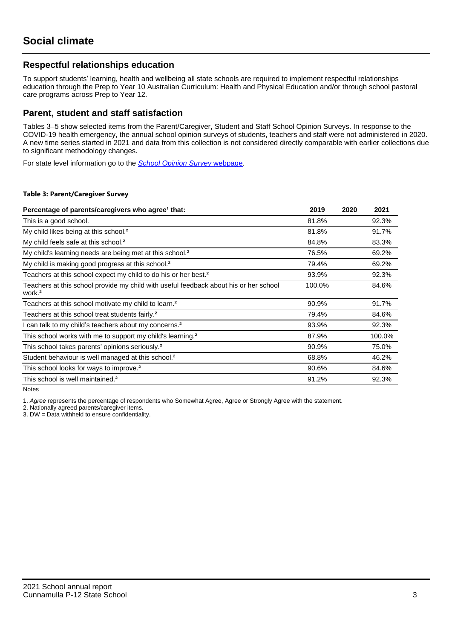## **Respectful relationships education**

To support students' learning, health and wellbeing all state schools are required to implement respectful relationships education through the Prep to Year 10 Australian Curriculum: Health and Physical Education and/or through school pastoral care programs across Prep to Year 12.

## **Parent, student and staff satisfaction**

Tables 3–5 show selected items from the Parent/Caregiver, Student and Staff School Opinion Surveys. In response to the COVID-19 health emergency, the annual school opinion surveys of students, teachers and staff were not administered in 2020. A new time series started in 2021 and data from this collection is not considered directly comparable with earlier collections due to significant methodology changes.

For state level information go to the **[School Opinion Survey](https://qed.qld.gov.au/publications/reports/statistics/schooling/schools/schoolopinionsurvey) webpage**.

#### **Table 3: Parent/Caregiver Survey**

| Percentage of parents/caregivers who agree <sup>1</sup> that:                                               | 2019   | 2020 | 2021   |
|-------------------------------------------------------------------------------------------------------------|--------|------|--------|
| This is a good school.                                                                                      | 81.8%  |      | 92.3%  |
| My child likes being at this school. <sup>2</sup>                                                           | 81.8%  |      | 91.7%  |
| My child feels safe at this school. <sup>2</sup>                                                            | 84.8%  |      | 83.3%  |
| My child's learning needs are being met at this school. <sup>2</sup>                                        | 76.5%  |      | 69.2%  |
| My child is making good progress at this school. <sup>2</sup>                                               | 79.4%  |      | 69.2%  |
| Teachers at this school expect my child to do his or her best. <sup>2</sup>                                 | 93.9%  |      | 92.3%  |
| Teachers at this school provide my child with useful feedback about his or her school<br>work. <sup>2</sup> | 100.0% |      | 84.6%  |
| Teachers at this school motivate my child to learn. <sup>2</sup>                                            | 90.9%  |      | 91.7%  |
| Teachers at this school treat students fairly. <sup>2</sup>                                                 | 79.4%  |      | 84.6%  |
| can talk to my child's teachers about my concerns. <sup>2</sup>                                             | 93.9%  |      | 92.3%  |
| This school works with me to support my child's learning. <sup>2</sup>                                      | 87.9%  |      | 100.0% |
| This school takes parents' opinions seriously. <sup>2</sup>                                                 | 90.9%  |      | 75.0%  |
| Student behaviour is well managed at this school. <sup>2</sup>                                              | 68.8%  |      | 46.2%  |
| This school looks for ways to improve. <sup>2</sup>                                                         | 90.6%  |      | 84.6%  |
| This school is well maintained. <sup>2</sup>                                                                | 91.2%  |      | 92.3%  |

Notes

1. Agree represents the percentage of respondents who Somewhat Agree, Agree or Strongly Agree with the statement.

2. Nationally agreed parents/caregiver items.

3. DW = Data withheld to ensure confidentiality.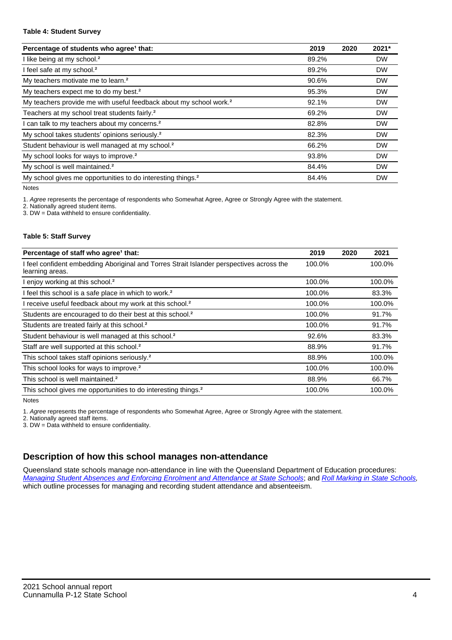#### **Table 4: Student Survey**

| Percentage of students who agree <sup>1</sup> that:                            | 2019  | 2020 | 2021*     |
|--------------------------------------------------------------------------------|-------|------|-----------|
| I like being at my school. <sup>2</sup>                                        | 89.2% |      | <b>DW</b> |
| I feel safe at my school. <sup>2</sup>                                         | 89.2% |      | <b>DW</b> |
| My teachers motivate me to learn. <sup>2</sup>                                 | 90.6% |      | <b>DW</b> |
| My teachers expect me to do my best. <sup>2</sup>                              | 95.3% |      | <b>DW</b> |
| My teachers provide me with useful feedback about my school work. <sup>2</sup> | 92.1% |      | <b>DW</b> |
| Teachers at my school treat students fairly. <sup>2</sup>                      | 69.2% |      | <b>DW</b> |
| I can talk to my teachers about my concerns. <sup>2</sup>                      | 82.8% |      | <b>DW</b> |
| My school takes students' opinions seriously. <sup>2</sup>                     | 82.3% |      | <b>DW</b> |
| Student behaviour is well managed at my school. <sup>2</sup>                   | 66.2% |      | <b>DW</b> |
| My school looks for ways to improve. <sup>2</sup>                              | 93.8% |      | <b>DW</b> |
| My school is well maintained. <sup>2</sup>                                     | 84.4% |      | <b>DW</b> |
| My school gives me opportunities to do interesting things. <sup>2</sup>        | 84.4% |      | <b>DW</b> |

Notes

1. Agree represents the percentage of respondents who Somewhat Agree, Agree or Strongly Agree with the statement.

2. Nationally agreed student items.

3. DW = Data withheld to ensure confidentiality.

#### **Table 5: Staff Survey**

| Percentage of staff who agree <sup>1</sup> that:                                                            | 2019   | 2020 | 2021   |
|-------------------------------------------------------------------------------------------------------------|--------|------|--------|
| I feel confident embedding Aboriginal and Torres Strait Islander perspectives across the<br>learning areas. | 100.0% |      | 100.0% |
| I enjoy working at this school. <sup>2</sup>                                                                | 100.0% |      | 100.0% |
| I feel this school is a safe place in which to work. <sup>2</sup>                                           | 100.0% |      | 83.3%  |
| I receive useful feedback about my work at this school. <sup>2</sup>                                        | 100.0% |      | 100.0% |
| Students are encouraged to do their best at this school. <sup>2</sup>                                       | 100.0% |      | 91.7%  |
| Students are treated fairly at this school. <sup>2</sup>                                                    | 100.0% |      | 91.7%  |
| Student behaviour is well managed at this school. <sup>2</sup>                                              | 92.6%  |      | 83.3%  |
| Staff are well supported at this school. <sup>2</sup>                                                       | 88.9%  |      | 91.7%  |
| This school takes staff opinions seriously. <sup>2</sup>                                                    | 88.9%  |      | 100.0% |
| This school looks for ways to improve. <sup>2</sup>                                                         | 100.0% |      | 100.0% |
| This school is well maintained. <sup>2</sup>                                                                | 88.9%  |      | 66.7%  |
| This school gives me opportunities to do interesting things. <sup>2</sup>                                   | 100.0% |      | 100.0% |

Notes

1. Agree represents the percentage of respondents who Somewhat Agree, Agree or Strongly Agree with the statement.

2. Nationally agreed staff items.

3. DW = Data withheld to ensure confidentiality.

## **Description of how this school manages non-attendance**

Queensland state schools manage non-attendance in line with the Queensland Department of Education procedures: [Managing Student Absences and Enforcing Enrolment and Attendance at State Schools](https://ppr.qed.qld.gov.au/pp/managing-student-absences-and-enforcing-enrolment-and-attendance-at-state-schools-procedure); and [Roll Marking in State Schools,](https://ppr.qed.qld.gov.au/pp/roll-marking-in-state-schools-procedure) which outline processes for managing and recording student attendance and absenteeism.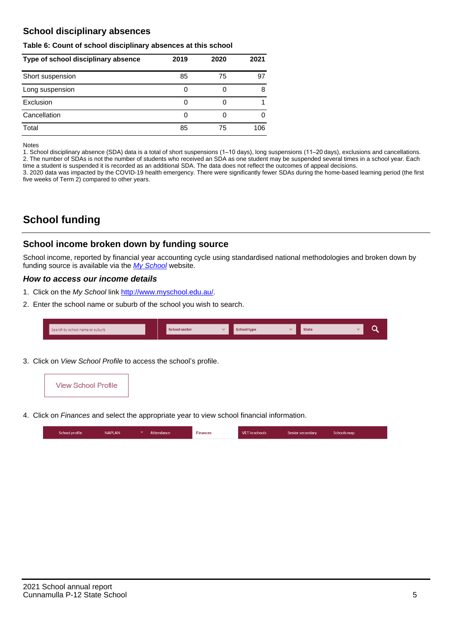## **School disciplinary absences**

#### **Table 6: Count of school disciplinary absences at this school**

| Type of school disciplinary absence | 2019 | 2020 | 2021 |
|-------------------------------------|------|------|------|
| Short suspension                    | 85   | 75   | 97   |
| Long suspension                     | 0    |      | 8    |
| Exclusion                           | 0    |      |      |
| Cancellation                        | 0    |      | 0    |
| Total                               | 85   | 75   | 106  |

Notes

1. School disciplinary absence (SDA) data is a total of short suspensions (1–10 days), long suspensions (11–20 days), exclusions and cancellations. 2. The number of SDAs is not the number of students who received an SDA as one student may be suspended several times in a school year. Each time a student is suspended it is recorded as an additional SDA. The data does not reflect the outcomes of appeal decisions.

3. 2020 data was impacted by the COVID-19 health emergency. There were significantly fewer SDAs during the home-based learning period (the first five weeks of Term 2) compared to other years.

# **School funding**

## **School income broken down by funding source**

School income, reported by financial year accounting cycle using standardised national methodologies and broken down by funding source is available via the [My School](http://www.myschool.edu.au/) website.

### **How to access our income details**

- 1. Click on the My School link <http://www.myschool.edu.au/>.
- 2. Enter the school name or suburb of the school you wish to search.

| Search by school name or suburb | <b>School sector</b> | School type | <b>State</b> |  |
|---------------------------------|----------------------|-------------|--------------|--|
|                                 |                      |             |              |  |

3. Click on View School Profile to access the school's profile.



4. Click on Finances and select the appropriate year to view school financial information.

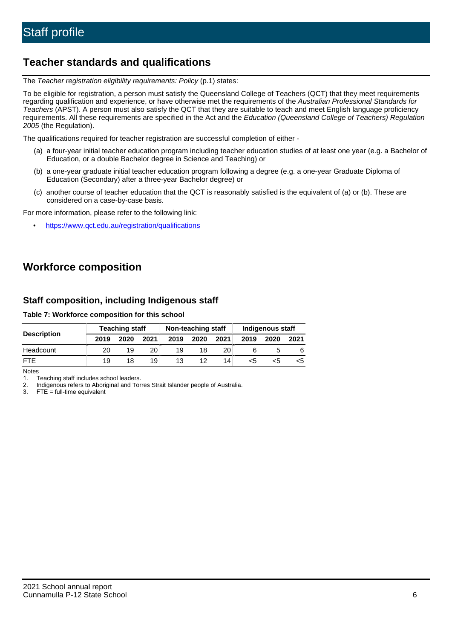# **Teacher standards and qualifications**

The Teacher registration eligibility requirements: Policy (p.1) states:

To be eligible for registration, a person must satisfy the Queensland College of Teachers (QCT) that they meet requirements regarding qualification and experience, or have otherwise met the requirements of the Australian Professional Standards for Teachers (APST). A person must also satisfy the QCT that they are suitable to teach and meet English language proficiency requirements. All these requirements are specified in the Act and the Education (Queensland College of Teachers) Regulation 2005 (the Regulation).

The qualifications required for teacher registration are successful completion of either -

- (a) a four-year initial teacher education program including teacher education studies of at least one year (e.g. a Bachelor of Education, or a double Bachelor degree in Science and Teaching) or
- (b) a one-year graduate initial teacher education program following a degree (e.g. a one-year Graduate Diploma of Education (Secondary) after a three-year Bachelor degree) or
- (c) another course of teacher education that the QCT is reasonably satisfied is the equivalent of (a) or (b). These are considered on a case-by-case basis.

For more information, please refer to the following link:

• <https://www.qct.edu.au/registration/qualifications>

# **Workforce composition**

## **Staff composition, including Indigenous staff**

**Table 7: Workforce composition for this school**

|                    | <b>Teaching staff</b> |      |      | Non-teaching staff |      |                 | <b>Indigenous staff</b> |      |      |
|--------------------|-----------------------|------|------|--------------------|------|-----------------|-------------------------|------|------|
| <b>Description</b> | 2019                  | 2020 | 2021 | 2019               | 2020 | 2021            | 2019                    | 2020 | 2021 |
| Headcount          | 20                    | 19   | 20   | 19                 | 18   | 20              |                         |      |      |
| <b>FTF</b>         | 19                    | 18   | 19   | 13                 | 12   | 14 <sub>1</sub> | <5                      |      |      |

Notes

1. Teaching staff includes school leaders.

2. Indigenous refers to Aboriginal and Torres Strait Islander people of Australia.

3. FTE = full-time equivalent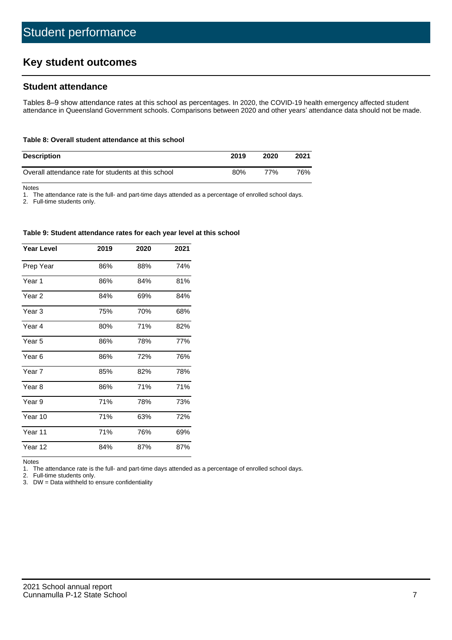# **Key student outcomes**

## **Student attendance**

Tables 8–9 show attendance rates at this school as percentages. In 2020, the COVID-19 health emergency affected student attendance in Queensland Government schools. Comparisons between 2020 and other years' attendance data should not be made.

#### **Table 8: Overall student attendance at this school**

| <b>Description</b>                                  | 2019 | 2020 | 2021 |
|-----------------------------------------------------|------|------|------|
| Overall attendance rate for students at this school | 80%  | 77%  | 76%  |

Notes

1. The attendance rate is the full- and part-time days attended as a percentage of enrolled school days.

2. Full-time students only.

#### **Table 9: Student attendance rates for each year level at this school**

| <b>Year Level</b> | 2019 | 2020 | 2021 |
|-------------------|------|------|------|
| Prep Year         | 86%  | 88%  | 74%  |
| Year 1            | 86%  | 84%  | 81%  |
| Year 2            | 84%  | 69%  | 84%  |
| Year <sub>3</sub> | 75%  | 70%  | 68%  |
| Year 4            | 80%  | 71%  | 82%  |
| Year 5            | 86%  | 78%  | 77%  |
| Year <sub>6</sub> | 86%  | 72%  | 76%  |
| Year 7            | 85%  | 82%  | 78%  |
| Year <sub>8</sub> | 86%  | 71%  | 71%  |
| Year 9            | 71%  | 78%  | 73%  |
| Year 10           | 71%  | 63%  | 72%  |
| Year 11           | 71%  | 76%  | 69%  |
| Year 12           | 84%  | 87%  | 87%  |

Notes<br>1. Th The attendance rate is the full- and part-time days attended as a percentage of enrolled school days.

2. Full-time students only.

3. DW = Data withheld to ensure confidentiality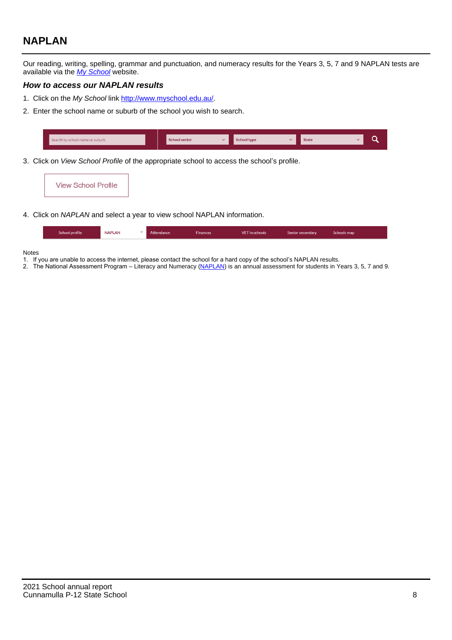# **NAPLAN**

Our reading, writing, spelling, grammar and punctuation, and numeracy results for the Years 3, 5, 7 and 9 NAPLAN tests are available via the [My School](http://www.myschool.edu.au/) website.

#### **How to access our NAPLAN results**

- 1. Click on the My School link <http://www.myschool.edu.au/>.
- 2. Enter the school name or suburb of the school you wish to search.

| Search by school name or suburb | <b>School sector</b> | <b>School type</b>                        |          | <b>State</b> |  |
|---------------------------------|----------------------|-------------------------------------------|----------|--------------|--|
|                                 |                      |                                           |          |              |  |
|                                 |                      | $\sim$ $\sim$ $\sim$ $\sim$ $\sim$ $\sim$ | $\cdots$ |              |  |

3. Click on View School Profile of the appropriate school to access the school's profile.

| <b>View School Profile</b> |  |  |  |
|----------------------------|--|--|--|
|----------------------------|--|--|--|

4. Click on NAPLAN and select a year to view school NAPLAN information.

|  | School profile | <b>NAPLAN</b><br>$\sim$ 1 | Attendance | <b>Finances</b> | <b>VET</b> in schools | Senior secondary | Schools map |
|--|----------------|---------------------------|------------|-----------------|-----------------------|------------------|-------------|
|--|----------------|---------------------------|------------|-----------------|-----------------------|------------------|-------------|

#### Notes

- 1. If you are unable to access the internet, please contact the school for a hard copy of the school's NAPLAN results.
- 2. The National Assessment Program Literacy and Numeracy ([NAPLAN\)](http://www.nap.edu.au/naplan) is an annual assessment for students in Years 3, 5, 7 and 9.